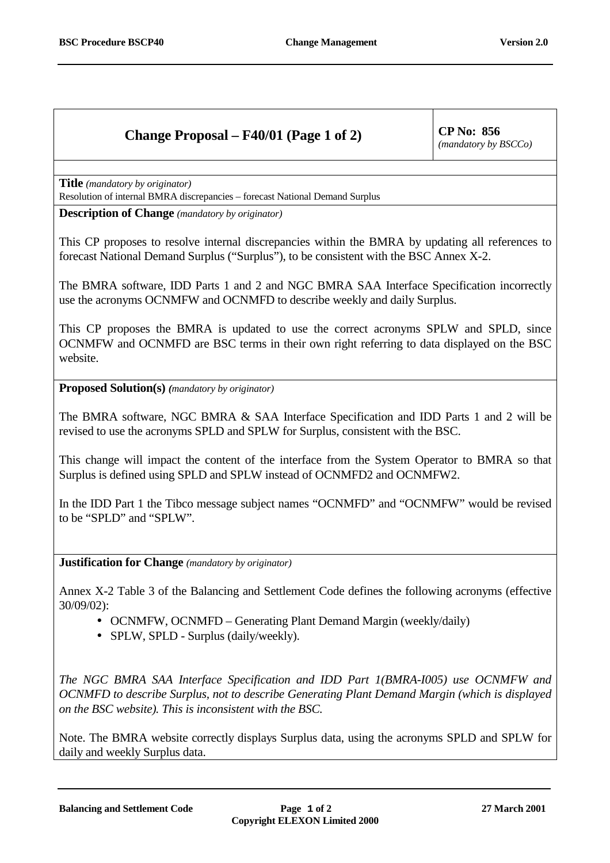## **Change Proposal – F40/01 (Page 1 of 2)** CP No: 856

*(mandatory by BSCCo)*

**Title** *(mandatory by originator)*

Resolution of internal BMRA discrepancies – forecast National Demand Surplus

**Description of Change** *(mandatory by originator)*

This CP proposes to resolve internal discrepancies within the BMRA by updating all references to forecast National Demand Surplus ("Surplus"), to be consistent with the BSC Annex X-2.

The BMRA software, IDD Parts 1 and 2 and NGC BMRA SAA Interface Specification incorrectly use the acronyms OCNMFW and OCNMFD to describe weekly and daily Surplus.

This CP proposes the BMRA is updated to use the correct acronyms SPLW and SPLD, since OCNMFW and OCNMFD are BSC terms in their own right referring to data displayed on the BSC website.

**Proposed Solution(s)** *(mandatory by originator)*

The BMRA software, NGC BMRA & SAA Interface Specification and IDD Parts 1 and 2 will be revised to use the acronyms SPLD and SPLW for Surplus, consistent with the BSC.

This change will impact the content of the interface from the System Operator to BMRA so that Surplus is defined using SPLD and SPLW instead of OCNMFD2 and OCNMFW2.

In the IDD Part 1 the Tibco message subject names "OCNMFD" and "OCNMFW" would be revised to be "SPLD" and "SPLW".

**Justification for Change** *(mandatory by originator)*

Annex X-2 Table 3 of the Balancing and Settlement Code defines the following acronyms (effective 30/09/02):

- OCNMFW, OCNMFD Generating Plant Demand Margin (weekly/daily)
- SPLW, SPLD Surplus (daily/weekly).

*The NGC BMRA SAA Interface Specification and IDD Part 1(BMRA-I005) use OCNMFW and OCNMFD to describe Surplus, not to describe Generating Plant Demand Margin (which is displayed on the BSC website). This is inconsistent with the BSC.*

Note. The BMRA website correctly displays Surplus data, using the acronyms SPLD and SPLW for daily and weekly Surplus data.